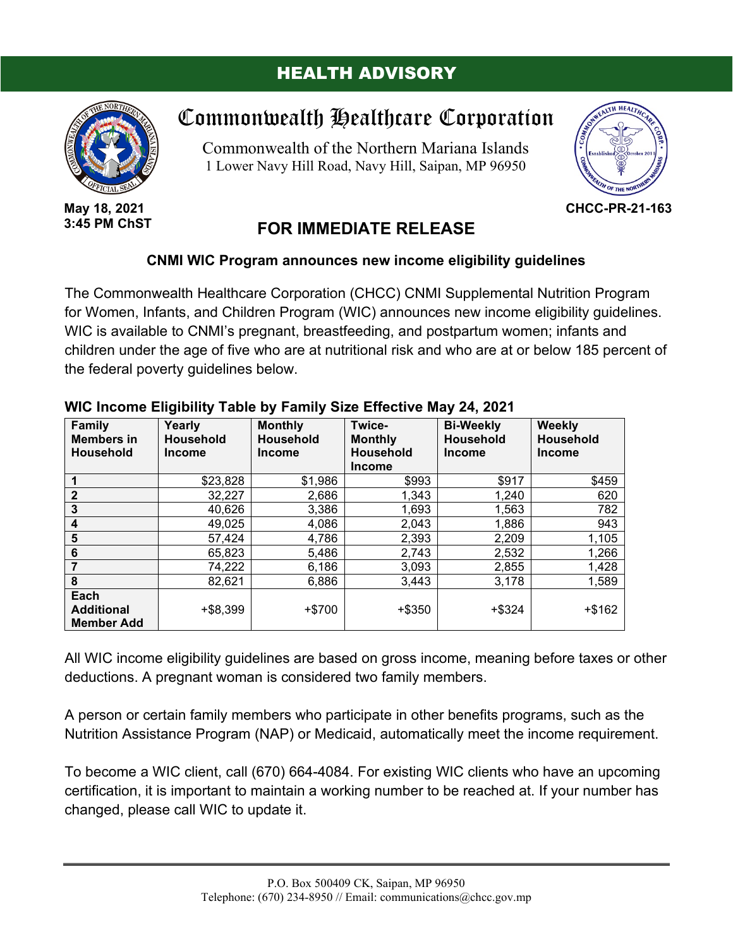### HEALTH ADVISORY



**May 18, 2021 3:45 PM ChST**

# Commonwealth Healthcare Corporation

Commonwealth of the Northern Mariana Islands 1 Lower Navy Hill Road, Navy Hill, Saipan, MP 96950



**CHCC-PR-21-163**

## **FOR IMMEDIATE RELEASE**

#### **CNMI WIC Program announces new income eligibility guidelines**

The Commonwealth Healthcare Corporation (CHCC) CNMI Supplemental Nutrition Program for Women, Infants, and Children Program (WIC) announces new income eligibility guidelines. WIC is available to CNMI's pregnant, breastfeeding, and postpartum women; infants and children under the age of five who are at nutritional risk and who are at or below 185 percent of the federal poverty guidelines below.

| <b>Family</b><br><b>Members in</b><br><b>Household</b> | Yearly<br><b>Household</b><br><b>Income</b> | <b>Monthly</b><br><b>Household</b><br><b>Income</b> | Twice-<br><b>Monthly</b><br><b>Household</b><br><b>Income</b> | <b>Bi-Weekly</b><br><b>Household</b><br><b>Income</b> | Weekly<br>Household<br><b>Income</b> |
|--------------------------------------------------------|---------------------------------------------|-----------------------------------------------------|---------------------------------------------------------------|-------------------------------------------------------|--------------------------------------|
|                                                        | \$23,828                                    | \$1,986                                             | \$993                                                         | \$917                                                 | \$459                                |
| $\mathbf{2}$                                           | 32,227                                      | 2,686                                               | 1,343                                                         | 1,240                                                 | 620                                  |
| 3                                                      | 40,626                                      | 3,386                                               | 1,693                                                         | 1,563                                                 | 782                                  |
| 4                                                      | 49,025                                      | 4,086                                               | 2,043                                                         | 1,886                                                 | 943                                  |
| 5                                                      | 57,424                                      | 4,786                                               | 2,393                                                         | 2,209                                                 | 1,105                                |
| 6                                                      | 65,823                                      | 5,486                                               | 2,743                                                         | 2,532                                                 | 1,266                                |
|                                                        | 74,222                                      | 6,186                                               | 3,093                                                         | 2,855                                                 | 1,428                                |
| 8                                                      | 82,621                                      | 6,886                                               | 3,443                                                         | 3,178                                                 | 1,589                                |
| Each<br><b>Additional</b><br><b>Member Add</b>         | $+ $8,399$                                  | $+ $700$                                            | $+$ \$350                                                     | $+$ \$324                                             | $+ $162$                             |

#### **WIC Income Eligibility Table by Family Size Effective May 24, 2021**

All WIC income eligibility guidelines are based on gross income, meaning before taxes or other deductions. A pregnant woman is considered two family members.

A person or certain family members who participate in other benefits programs, such as the Nutrition Assistance Program (NAP) or Medicaid, automatically meet the income requirement.

To become a WIC client, call (670) 664-4084. For existing WIC clients who have an upcoming certification, it is important to maintain a working number to be reached at. If your number has changed, please call WIC to update it.